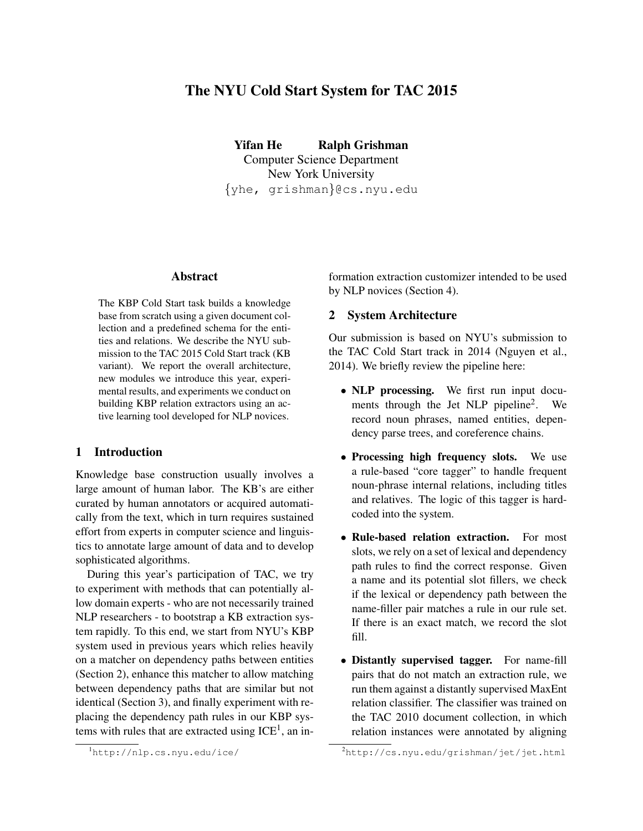# The NYU Cold Start System for TAC 2015

Yifan He Ralph Grishman Computer Science Department New York University {yhe, grishman}@cs.nyu.edu

#### **Abstract**

The KBP Cold Start task builds a knowledge base from scratch using a given document collection and a predefined schema for the entities and relations. We describe the NYU submission to the TAC 2015 Cold Start track (KB variant). We report the overall architecture, new modules we introduce this year, experimental results, and experiments we conduct on building KBP relation extractors using an active learning tool developed for NLP novices.

### 1 Introduction

Knowledge base construction usually involves a large amount of human labor. The KB's are either curated by human annotators or acquired automatically from the text, which in turn requires sustained effort from experts in computer science and linguistics to annotate large amount of data and to develop sophisticated algorithms.

During this year's participation of TAC, we try to experiment with methods that can potentially allow domain experts - who are not necessarily trained NLP researchers - to bootstrap a KB extraction system rapidly. To this end, we start from NYU's KBP system used in previous years which relies heavily on a matcher on dependency paths between entities (Section 2), enhance this matcher to allow matching between dependency paths that are similar but not identical (Section 3), and finally experiment with replacing the dependency path rules in our KBP systems with rules that are extracted using  $ICE<sup>1</sup>$ , an information extraction customizer intended to be used by NLP novices (Section 4).

#### 2 System Architecture

Our submission is based on NYU's submission to the TAC Cold Start track in 2014 (Nguyen et al., 2014). We briefly review the pipeline here:

- NLP processing. We first run input documents through the Jet NLP pipeline<sup>2</sup>. . We record noun phrases, named entities, dependency parse trees, and coreference chains.
- Processing high frequency slots. We use a rule-based "core tagger" to handle frequent noun-phrase internal relations, including titles and relatives. The logic of this tagger is hardcoded into the system.
- Rule-based relation extraction. For most slots, we rely on a set of lexical and dependency path rules to find the correct response. Given a name and its potential slot fillers, we check if the lexical or dependency path between the name-filler pair matches a rule in our rule set. If there is an exact match, we record the slot fill.
- Distantly supervised tagger. For name-fill pairs that do not match an extraction rule, we run them against a distantly supervised MaxEnt relation classifier. The classifier was trained on the TAC 2010 document collection, in which relation instances were annotated by aligning

<sup>1</sup>http://nlp.cs.nyu.edu/ice/

 $^{2}$ http://cs.nyu.edu/qrishman/jet/jet.html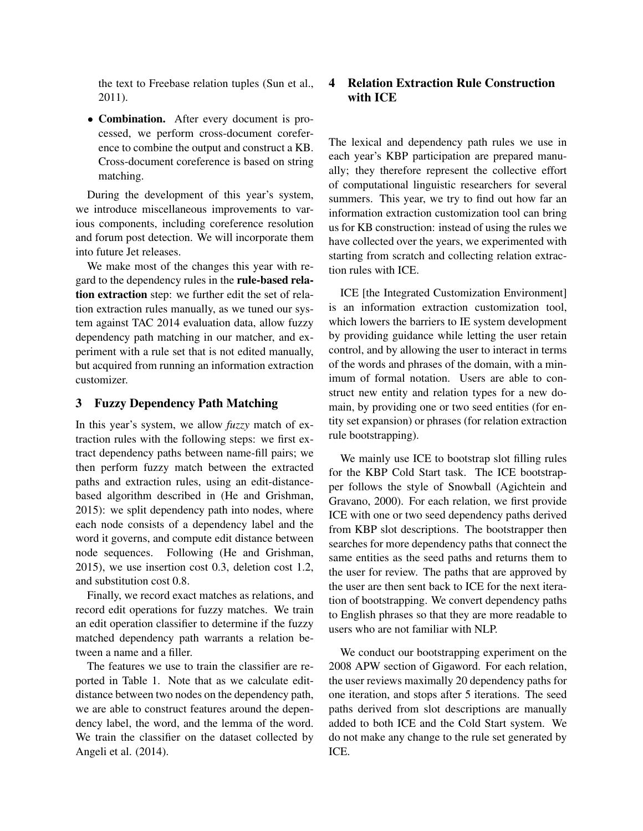the text to Freebase relation tuples (Sun et al., 2011).

• Combination. After every document is processed, we perform cross-document coreference to combine the output and construct a KB. Cross-document coreference is based on string matching.

During the development of this year's system, we introduce miscellaneous improvements to various components, including coreference resolution and forum post detection. We will incorporate them into future Jet releases.

We make most of the changes this year with regard to the dependency rules in the rule-based relation extraction step: we further edit the set of relation extraction rules manually, as we tuned our system against TAC 2014 evaluation data, allow fuzzy dependency path matching in our matcher, and experiment with a rule set that is not edited manually, but acquired from running an information extraction customizer.

#### 3 Fuzzy Dependency Path Matching

In this year's system, we allow *fuzzy* match of extraction rules with the following steps: we first extract dependency paths between name-fill pairs; we then perform fuzzy match between the extracted paths and extraction rules, using an edit-distancebased algorithm described in (He and Grishman, 2015): we split dependency path into nodes, where each node consists of a dependency label and the word it governs, and compute edit distance between node sequences. Following (He and Grishman, 2015), we use insertion cost 0.3, deletion cost 1.2, and substitution cost 0.8.

Finally, we record exact matches as relations, and record edit operations for fuzzy matches. We train an edit operation classifier to determine if the fuzzy matched dependency path warrants a relation between a name and a filler.

The features we use to train the classifier are reported in Table 1. Note that as we calculate editdistance between two nodes on the dependency path, we are able to construct features around the dependency label, the word, and the lemma of the word. We train the classifier on the dataset collected by Angeli et al. (2014).

### 4 Relation Extraction Rule Construction with ICE

The lexical and dependency path rules we use in each year's KBP participation are prepared manually; they therefore represent the collective effort of computational linguistic researchers for several summers. This year, we try to find out how far an information extraction customization tool can bring us for KB construction: instead of using the rules we have collected over the years, we experimented with starting from scratch and collecting relation extraction rules with ICE.

ICE [the Integrated Customization Environment] is an information extraction customization tool, which lowers the barriers to IE system development by providing guidance while letting the user retain control, and by allowing the user to interact in terms of the words and phrases of the domain, with a minimum of formal notation. Users are able to construct new entity and relation types for a new domain, by providing one or two seed entities (for entity set expansion) or phrases (for relation extraction rule bootstrapping).

We mainly use ICE to bootstrap slot filling rules for the KBP Cold Start task. The ICE bootstrapper follows the style of Snowball (Agichtein and Gravano, 2000). For each relation, we first provide ICE with one or two seed dependency paths derived from KBP slot descriptions. The bootstrapper then searches for more dependency paths that connect the same entities as the seed paths and returns them to the user for review. The paths that are approved by the user are then sent back to ICE for the next iteration of bootstrapping. We convert dependency paths to English phrases so that they are more readable to users who are not familiar with NLP.

We conduct our bootstrapping experiment on the 2008 APW section of Gigaword. For each relation, the user reviews maximally 20 dependency paths for one iteration, and stops after 5 iterations. The seed paths derived from slot descriptions are manually added to both ICE and the Cold Start system. We do not make any change to the rule set generated by ICE.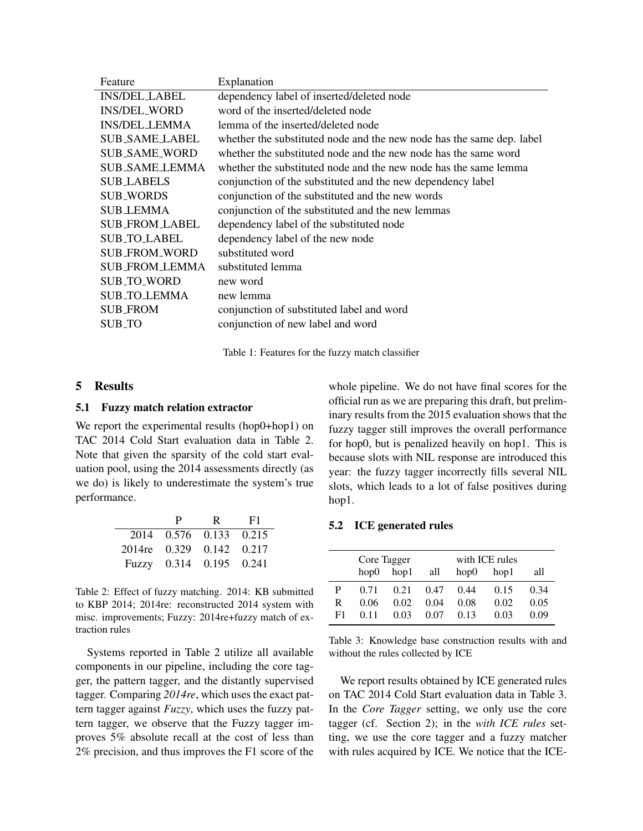| Feature               | Explanation                                                           |
|-----------------------|-----------------------------------------------------------------------|
| <b>INS/DEL_LABEL</b>  | dependency label of inserted/deleted node                             |
| <b>INS/DEL_WORD</b>   | word of the inserted/deleted node                                     |
| <b>INS/DEL_LEMMA</b>  | lemma of the inserted/deleted node                                    |
| <b>SUB_SAME_LABEL</b> | whether the substituted node and the new node has the same dep. label |
| <b>SUB SAME WORD</b>  | whether the substituted node and the new node has the same word       |
| SUB SAME LEMMA        | whether the substituted node and the new node has the same lemma      |
| <b>SUB_LABELS</b>     | conjunction of the substituted and the new dependency label           |
| <b>SUB_WORDS</b>      | conjunction of the substituted and the new words                      |
| <b>SUB_LEMMA</b>      | conjunction of the substituted and the new lemmas                     |
| <b>SUB_FROM_LABEL</b> | dependency label of the substituted node                              |
| <b>SUB_TO_LABEL</b>   | dependency label of the new node                                      |
| <b>SUB_FROM_WORD</b>  | substituted word                                                      |
| SUB FROM LEMMA        | substituted lemma                                                     |
| <b>SUB TO WORD</b>    | new word                                                              |
| <b>SUB_TO_LEMMA</b>   | new lemma                                                             |
| <b>SUB_FROM</b>       | conjunction of substituted label and word                             |
| SUB_TO                | conjunction of new label and word                                     |
|                       |                                                                       |

Table 1: Features for the fuzzy match classifier

#### 5 Results

#### 5.1 Fuzzy match relation extractor

We report the experimental results (hop0+hop1) on TAC 2014 Cold Start evaluation data in Table 2. Note that given the sparsity of the cold start evaluation pool, using the 2014 assessments directly (as we do) is likely to underestimate the system's true performance.

|                          | P | R                       | -F1 |  |
|--------------------------|---|-------------------------|-----|--|
|                          |   | 2014 0.576 0.133 0.215  |     |  |
| 2014re 0.329 0.142 0.217 |   |                         |     |  |
|                          |   | Fuzzy 0.314 0.195 0.241 |     |  |

Table 2: Effect of fuzzy matching. 2014: KB submitted to KBP 2014; 2014re: reconstructed 2014 system with misc. improvements; Fuzzy: 2014re+fuzzy match of extraction rules

Systems reported in Table 2 utilize all available components in our pipeline, including the core tagger, the pattern tagger, and the distantly supervised tagger. Comparing *2014re*, which uses the exact pattern tagger against *Fuzzy*, which uses the fuzzy pattern tagger, we observe that the Fuzzy tagger improves 5% absolute recall at the cost of less than 2% precision, and thus improves the F1 score of the

whole pipeline. We do not have final scores for the official run as we are preparing this draft, but preliminary results from the 2015 evaluation shows that the fuzzy tagger still improves the overall performance for hop0, but is penalized heavily on hop1. This is because slots with NIL response are introduced this year: the fuzzy tagger incorrectly fills several NIL slots, which leads to a lot of false positives during hop1.

#### 5.2 ICE generated rules

|    | Core Tagger<br>$h$ op $\theta$<br>hop1<br>all |      |      | with ICE rules<br>hop0<br>hop1<br>all |      |      |
|----|-----------------------------------------------|------|------|---------------------------------------|------|------|
| P  | 0.71                                          | 0.21 | 0.47 | 0.44                                  | 0.15 | 0.34 |
| R  | 0.06                                          | 0.02 | 0.04 | 0.08                                  | 0.02 | 0.05 |
| F1 | 0.11                                          | 0.03 | 0.07 | 0.13                                  | 0.03 | 0.09 |

Table 3: Knowledge base construction results with and without the rules collected by ICE

We report results obtained by ICE generated rules on TAC 2014 Cold Start evaluation data in Table 3. In the *Core Tagger* setting, we only use the core tagger (cf. Section 2); in the *with ICE rules* setting, we use the core tagger and a fuzzy matcher with rules acquired by ICE. We notice that the ICE-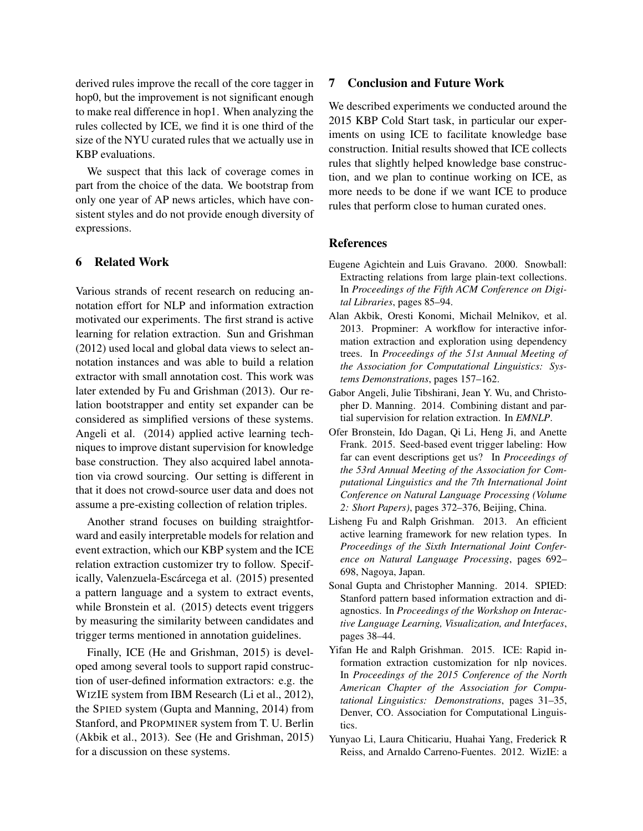derived rules improve the recall of the core tagger in hop0, but the improvement is not significant enough to make real difference in hop1. When analyzing the rules collected by ICE, we find it is one third of the size of the NYU curated rules that we actually use in KBP evaluations.

We suspect that this lack of coverage comes in part from the choice of the data. We bootstrap from only one year of AP news articles, which have consistent styles and do not provide enough diversity of expressions.

## 6 Related Work

Various strands of recent research on reducing annotation effort for NLP and information extraction motivated our experiments. The first strand is active learning for relation extraction. Sun and Grishman (2012) used local and global data views to select annotation instances and was able to build a relation extractor with small annotation cost. This work was later extended by Fu and Grishman (2013). Our relation bootstrapper and entity set expander can be considered as simplified versions of these systems. Angeli et al. (2014) applied active learning techniques to improve distant supervision for knowledge base construction. They also acquired label annotation via crowd sourcing. Our setting is different in that it does not crowd-source user data and does not assume a pre-existing collection of relation triples.

Another strand focuses on building straightforward and easily interpretable models for relation and event extraction, which our KBP system and the ICE relation extraction customizer try to follow. Specifically, Valenzuela-Escárcega et al. (2015) presented a pattern language and a system to extract events, while Bronstein et al. (2015) detects event triggers by measuring the similarity between candidates and trigger terms mentioned in annotation guidelines.

Finally, ICE (He and Grishman, 2015) is developed among several tools to support rapid construction of user-defined information extractors: e.g. the WIZIE system from IBM Research (Li et al., 2012), the SPIED system (Gupta and Manning, 2014) from Stanford, and PROPMINER system from T. U. Berlin (Akbik et al., 2013). See (He and Grishman, 2015) for a discussion on these systems.

#### 7 Conclusion and Future Work

We described experiments we conducted around the 2015 KBP Cold Start task, in particular our experiments on using ICE to facilitate knowledge base construction. Initial results showed that ICE collects rules that slightly helped knowledge base construction, and we plan to continue working on ICE, as more needs to be done if we want ICE to produce rules that perform close to human curated ones.

#### References

- Eugene Agichtein and Luis Gravano. 2000. Snowball: Extracting relations from large plain-text collections. In *Proceedings of the Fifth ACM Conference on Digital Libraries*, pages 85–94.
- Alan Akbik, Oresti Konomi, Michail Melnikov, et al. 2013. Propminer: A workflow for interactive information extraction and exploration using dependency trees. In *Proceedings of the 51st Annual Meeting of the Association for Computational Linguistics: Systems Demonstrations*, pages 157–162.
- Gabor Angeli, Julie Tibshirani, Jean Y. Wu, and Christopher D. Manning. 2014. Combining distant and partial supervision for relation extraction. In *EMNLP*.
- Ofer Bronstein, Ido Dagan, Qi Li, Heng Ji, and Anette Frank. 2015. Seed-based event trigger labeling: How far can event descriptions get us? In *Proceedings of the 53rd Annual Meeting of the Association for Computational Linguistics and the 7th International Joint Conference on Natural Language Processing (Volume 2: Short Papers)*, pages 372–376, Beijing, China.
- Lisheng Fu and Ralph Grishman. 2013. An efficient active learning framework for new relation types. In *Proceedings of the Sixth International Joint Conference on Natural Language Processing*, pages 692– 698, Nagoya, Japan.
- Sonal Gupta and Christopher Manning. 2014. SPIED: Stanford pattern based information extraction and diagnostics. In *Proceedings of the Workshop on Interactive Language Learning, Visualization, and Interfaces*, pages 38–44.
- Yifan He and Ralph Grishman. 2015. ICE: Rapid information extraction customization for nlp novices. In *Proceedings of the 2015 Conference of the North American Chapter of the Association for Computational Linguistics: Demonstrations*, pages 31–35, Denver, CO. Association for Computational Linguistics.
- Yunyao Li, Laura Chiticariu, Huahai Yang, Frederick R Reiss, and Arnaldo Carreno-Fuentes. 2012. WizIE: a